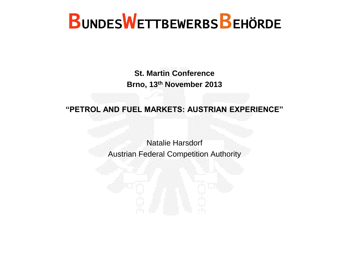**St. Martin Conference Brno, 13th November 2013**

**"PETROL AND FUEL MARKETS: AUSTRIAN EXPERIENCE"**

Natalie Harsdorf Austrian Federal Competition Authority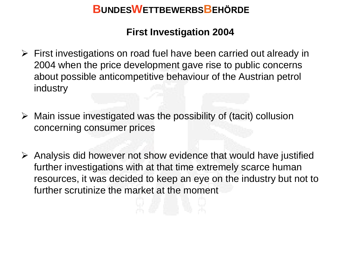#### **First Investigation 2004**

- $\triangleright$  First investigations on road fuel have been carried out already in 2004 when the price development gave rise to public concerns about possible anticompetitive behaviour of the Austrian petrol industry
- $\triangleright$  Main issue investigated was the possibility of (tacit) collusion concerning consumer prices
- $\triangleright$  Analysis did however not show evidence that would have justified further investigations with at that time extremely scarce human resources, it was decided to keep an eye on the industry but not to further scrutinize the market at the moment

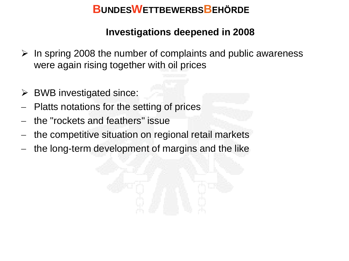#### **Investigations deepened in 2008**

- $\triangleright$  In spring 2008 the number of complaints and public awareness were again rising together with oil prices
- $\triangleright$  BWB investigated since:
- Platts notations for the setting of prices
- the "rockets and feathers" issue
- the competitive situation on regional retail markets
- the long-term development of margins and the like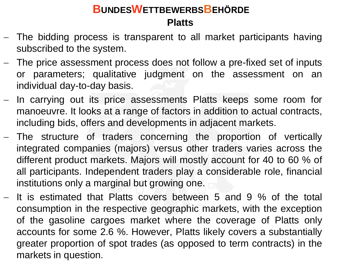# **Platts BUNDESWETTBEWERBSBEHÖRDE**

- The bidding process is transparent to all market participants having subscribed to the system.
- The price assessment process does not follow a pre-fixed set of inputs or parameters; qualitative judgment on the assessment on an individual day-to-day basis.
- In carrying out its price assessments Platts keeps some room for manoeuvre. It looks at a range of factors in addition to actual contracts, including bids, offers and developments in adjacent markets.
- The structure of traders concerning the proportion of vertically integrated companies (majors) versus other traders varies across the different product markets. Majors will mostly account for 40 to 60 % of all participants. Independent traders play a considerable role, financial institutions only a marginal but growing one.
- $-$  It is estimated that Platts covers between 5 and 9 % of the total consumption in the respective geographic markets, with the exception of the gasoline cargoes market where the coverage of Platts only accounts for some 2.6 %. However, Platts likely covers a substantially greater proportion of spot trades (as opposed to term contracts) in the markets in question.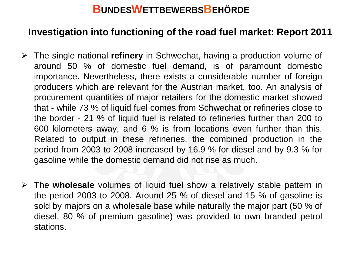#### **Investigation into functioning of the road fuel market: Report 2011**

- The single national **refinery** in Schwechat, having a production volume of around 50 % of domestic fuel demand, is of paramount domestic importance. Nevertheless, there exists a considerable number of foreign producers which are relevant for the Austrian market, too. An analysis of procurement quantities of major retailers for the domestic market showed that - while 73 % of liquid fuel comes from Schwechat or refineries close to the border - 21 % of liquid fuel is related to refineries further than 200 to 600 kilometers away, and 6 % is from locations even further than this. Related to output in these refineries, the combined production in the period from 2003 to 2008 increased by 16.9 % for diesel and by 9.3 % for gasoline while the domestic demand did not rise as much.
- The **wholesale** volumes of liquid fuel show a relatively stable pattern in the period 2003 to 2008. Around 25 % of diesel and 15 % of gasoline is sold by majors on a wholesale base while naturally the major part (50 % of diesel, 80 % of premium gasoline) was provided to own branded petrol stations.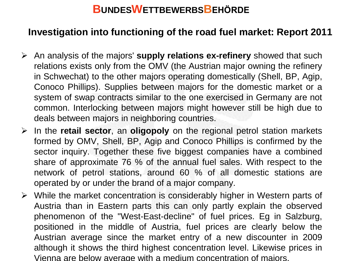#### **Investigation into functioning of the road fuel market: Report 2011**

- An analysis of the majors' **supply relations ex-refinery** showed that such relations exists only from the OMV (the Austrian major owning the refinery in Schwechat) to the other majors operating domestically (Shell, BP, Agip, Conoco Phillips). Supplies between majors for the domestic market or a system of swap contracts similar to the one exercised in Germany are not common. Interlocking between majors might however still be high due to deals between majors in neighboring countries.
- In the **retail sector**, an **oligopoly** on the regional petrol station markets formed by OMV, Shell, BP, Agip and Conoco Phillips is confirmed by the sector inquiry. Together these five biggest companies have a combined share of approximate 76 % of the annual fuel sales. With respect to the network of petrol stations, around 60 % of all domestic stations are operated by or under the brand of a major company.
- $\triangleright$  While the market concentration is considerably higher in Western parts of Austria than in Eastern parts this can only partly explain the observed phenomenon of the "West-East-decline" of fuel prices. Eg in Salzburg, positioned in the middle of Austria, fuel prices are clearly below the Austrian average since the market entry of a new discounter in 2009 although it shows the third highest concentration level. Likewise prices in Vienna are below average with a medium concentration of majors.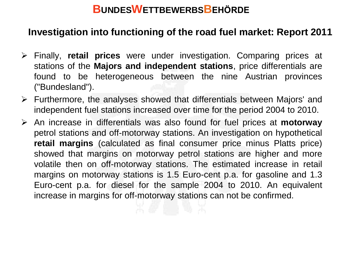#### **Investigation into functioning of the road fuel market: Report 2011**

- Finally, **retail prices** were under investigation. Comparing prices at stations of the **Majors and independent stations**, price differentials are found to be heterogeneous between the nine Austrian provinces ("Bundesland").
- $\triangleright$  Furthermore, the analyses showed that differentials between Majors' and independent fuel stations increased over time for the period 2004 to 2010.
- An increase in differentials was also found for fuel prices at **motorway** petrol stations and off-motorway stations. An investigation on hypothetical **retail margins** (calculated as final consumer price minus Platts price) showed that margins on motorway petrol stations are higher and more volatile then on off-motorway stations. The estimated increase in retail margins on motorway stations is 1.5 Euro-cent p.a. for gasoline and 1.3 Euro-cent p.a. for diesel for the sample 2004 to 2010. An equivalent increase in margins for off-motorway stations can not be confirmed.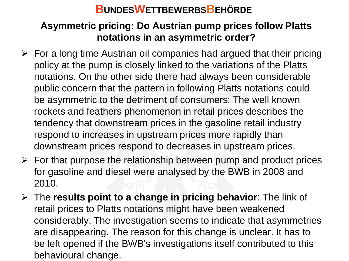#### **Asymmetric pricing: Do Austrian pump prices follow Platts notations in an asymmetric order?**

- $\triangleright$  For a long time Austrian oil companies had argued that their pricing policy at the pump is closely linked to the variations of the Platts notations. On the other side there had always been considerable public concern that the pattern in following Platts notations could be asymmetric to the detriment of consumers: The well known rockets and feathers phenomenon in retail prices describes the tendency that downstream prices in the gasoline retail industry respond to increases in upstream prices more rapidly than downstream prices respond to decreases in upstream prices.
- $\triangleright$  For that purpose the relationship between pump and product prices for gasoline and diesel were analysed by the BWB in 2008 and 2010.
- The **results point to a change in pricing behavior**: The link of retail prices to Platts notations might have been weakened considerably. The investigation seems to indicate that asymmetries are disappearing. The reason for this change is unclear. It has to be left opened if the BWB's investigations itself contributed to this behavioural change.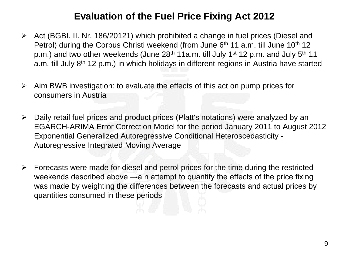#### **Evaluation of the Fuel Price Fixing Act 2012**

- $\triangleright$  Act (BGBI. II. Nr. 186/20121) which prohibited a change in fuel prices (Diesel and Petrol) during the Corpus Christi weekend (from June  $6<sup>th</sup> 11$  a.m. till June  $10<sup>th</sup> 12$ p.m.) and two other weekends (June 28<sup>th</sup> 11a.m. till July 1<sup>st</sup> 12 p.m. and July 5<sup>th</sup> 11 a.m. till July 8<sup>th</sup> 12 p.m.) in which holidays in different regions in Austria have started
- $\triangleright$  Aim BWB investigation: to evaluate the effects of this act on pump prices for consumers in Austria
- $\triangleright$  Daily retail fuel prices and product prices (Platt's notations) were analyzed by an EGARCH-ARIMA Error Correction Model for the period January 2011 to August 2012 Exponential Generalized Autoregressive Conditional Heteroscedasticity - Autoregressive Integrated Moving Average
- $\triangleright$  Forecasts were made for diesel and petrol prices for the time during the restricted weekends described above  $\rightarrow$ a n attempt to quantify the effects of the price fixing was made by weighting the differences between the forecasts and actual prices by quantities consumed in these periods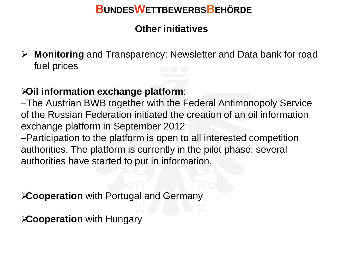#### **Other initiatives**

 **Monitoring** and Transparency: Newsletter and Data bank for road fuel prices

#### **Oil information exchange platform**:

The Austrian BWB together with the Federal Antimonopoly Service of the Russian Federation initiated the creation of an oil information exchange platform in September 2012

Participation to the platform is open to all interested competition authorities. The platform is currently in the pilot phase; several authorities have started to put in information.

**Cooperation** with Portugal and Germany

**Cooperation** with Hungary